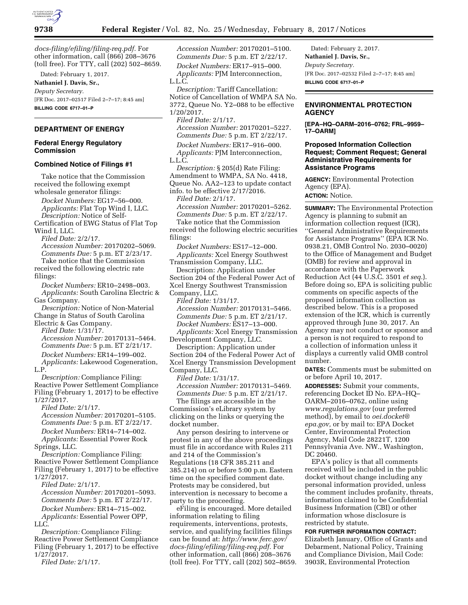

*[docs-filing/efiling/filing-req.pdf.](http://www.ferc.gov/docs-filing/efiling/filing-req.pdf)* For other information, call (866) 208–3676 (toll free). For TTY, call (202) 502–8659.

Dated: February 1, 2017. **Nathaniel J. Davis, Sr.,** 

*Deputy Secretary.*  [FR Doc. 2017–02517 Filed 2–7–17; 8:45 am] **BILLING CODE 6717–01–P** 

# **DEPARTMENT OF ENERGY**

### **Federal Energy Regulatory Commission**

### **Combined Notice of Filings #1**

Take notice that the Commission received the following exempt wholesale generator filings:

*Docket Numbers:* EG17–56–000. *Applicants:* Flat Top Wind I, LLC. *Description:* Notice of Self-

Certification of EWG Status of Flat Top Wind I, LLC.

*Filed Date:* 2/2/17.

*Accession Number:* 20170202–5069. *Comments Due:* 5 p.m. ET 2/23/17. Take notice that the Commission received the following electric rate filings:

*Docket Numbers:* ER10–2498–003. *Applicants:* South Carolina Electric & Gas Company.

*Description:* Notice of Non-Material Change in Status of South Carolina

Electric & Gas Company. *Filed Date:* 1/31/17. *Accession Number:* 20170131–5464. *Comments Due:* 5 p.m. ET 2/21/17. *Docket Numbers:* ER14–199–002.

*Applicants:* Lakewood Cogeneration, L.P.

*Description:* Compliance Filing: Reactive Power Settlement Compliance Filing (February 1, 2017) to be effective 1/27/2017.

*Filed Date:* 2/1/17. *Accession Number:* 20170201–5105. *Comments Due:* 5 p.m. ET 2/22/17. *Docket Numbers:* ER14–714–002. *Applicants:* Essential Power Rock

Springs, LLC.

*Description:* Compliance Filing: Reactive Power Settlement Compliance Filing (February 1, 2017) to be effective 1/27/2017.

*Filed Date:* 2/1/17.

*Accession Number:* 20170201–5093. *Comments Due:* 5 p.m. ET 2/22/17. *Docket Numbers:* ER14–715–002. *Applicants:* Essential Power OPP, LLC.

*Description:* Compliance Filing: Reactive Power Settlement Compliance Filing (February 1, 2017) to be effective 1/27/2017.

*Filed Date:* 2/1/17.

*Accession Number:* 20170201–5100. *Comments Due:* 5 p.m. ET 2/22/17. *Docket Numbers:* ER17–915–000. *Applicants:* PJM Interconnection, L.L.C.

*Description:* Tariff Cancellation: Notice of Cancellation of WMPA SA No. 3772, Queue No. Y2–088 to be effective 1/20/2017.

*Filed Date:* 2/1/17. *Accession Number:* 20170201–5227. *Comments Due:* 5 p.m. ET 2/22/17. *Docket Numbers:* ER17–916–000.

*Applicants:* PJM Interconnection, L.L.C.

*Description:* § 205(d) Rate Filing: Amendment to WMPA, SA No. 4418, Queue No. AA2–123 to update contact info. to be effective 2/17/2016.

*Filed Date:* 2/1/17.

*Accession Number:* 20170201–5262. *Comments Due:* 5 p.m. ET 2/22/17. Take notice that the Commission

received the following electric securities filings:

*Docket Numbers:* ES17–12–000. *Applicants:* Xcel Energy Southwest

Transmission Company, LLC. Description: Application under Section 204 of the Federal Power Act of Xcel Energy Southwest Transmission Company, LLC.

*Filed Date:* 1/31/17. *Accession Number:* 20170131–5466. *Comments Due:* 5 p.m. ET 2/21/17. *Docket Numbers:* ES17–13–000.

*Applicants:* Xcel Energy Transmission Development Company, LLC.

Description: Application under Section 204 of the Federal Power Act of Xcel Energy Transmission Development Company, LLC.

*Filed Date:* 1/31/17. *Accession Number:* 20170131–5469. *Comments Due:* 5 p.m. ET 2/21/17. The filings are accessible in the

Commission's eLibrary system by clicking on the links or querying the docket number.

Any person desiring to intervene or protest in any of the above proceedings must file in accordance with Rules 211 and 214 of the Commission's Regulations (18 CFR 385.211 and 385.214) on or before 5:00 p.m. Eastern time on the specified comment date. Protests may be considered, but intervention is necessary to become a party to the proceeding.

eFiling is encouraged. More detailed information relating to filing requirements, interventions, protests, service, and qualifying facilities filings can be found at: *[http://www.ferc.gov/](http://www.ferc.gov/docs-filing/efiling/filing-req.pdf)  [docs-filing/efiling/filing-req.pdf.](http://www.ferc.gov/docs-filing/efiling/filing-req.pdf)* For other information, call (866) 208–3676 (toll free). For TTY, call (202) 502–8659.

Dated: February 2, 2017. **Nathaniel J. Davis, Sr.,**  *Deputy Secretary.*  [FR Doc. 2017–02532 Filed 2–7–17; 8:45 am] **BILLING CODE 6717–01–P** 

## **ENVIRONMENTAL PROTECTION AGENCY**

**[EPA–HQ–OARM–2016–0762; FRL–9959– 17–OARM]** 

## **Proposed Information Collection Request; Comment Request; General Administrative Requirements for Assistance Programs**

**AGENCY:** Environmental Protection Agency (EPA). **ACTION:** Notice.

**SUMMARY:** The Environmental Protection Agency is planning to submit an information collection request (ICR), ''General Administrative Requirements for Assistance Programs'' (EPA ICR No. 0938.21, OMB Control No. 2030–0020) to the Office of Management and Budget (OMB) for review and approval in accordance with the Paperwork Reduction Act (44 U.S.C. 3501 *et seq.*). Before doing so, EPA is soliciting public comments on specific aspects of the proposed information collection as described below. This is a proposed extension of the ICR, which is currently approved through June 30, 2017. An Agency may not conduct or sponsor and a person is not required to respond to a collection of information unless it displays a currently valid OMB control number.

**DATES:** Comments must be submitted on or before April 10, 2017.

**ADDRESSES:** Submit your comments, referencing Docket ID No. EPA–HQ– OARM–2016–0762, online using *[www.regulations.gov](http://www.regulations.gov)* (our preferred method), by email to *[oei.docket@](mailto:oei.docket@epa.gov) [epa.gov,](mailto:oei.docket@epa.gov)* or by mail to: EPA Docket Center, Environmental Protection Agency, Mail Code 28221T, 1200 Pennsylvania Ave. NW., Washington, DC 20460.

EPA's policy is that all comments received will be included in the public docket without change including any personal information provided, unless the comment includes profanity, threats, information claimed to be Confidential Business Information (CBI) or other information whose disclosure is restricted by statute.

**FOR FURTHER INFORMATION CONTACT:**  Elizabeth January, Office of Grants and Debarment, National Policy, Training and Compliance Division, Mail Code: 3903R, Environmental Protection